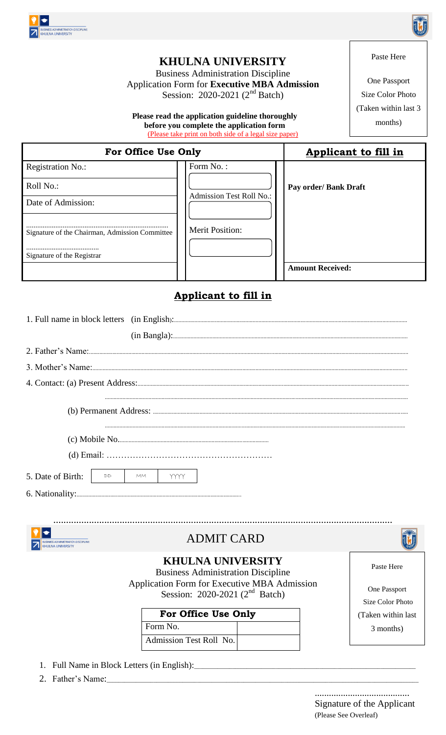

### **KHULNA UNIVERSITY**

**Business Administration Discipline** Application Form for **Executive MBA Admission**<br>Session: 2020-2021 ( $2<sup>nd</sup>$  Batch)

Please read the application guideline thoroughly before you complete the application form (Please take print on both side of a legal size paper)

One Passport Size Color Photo (Taken within last 3) months)

| For Office Use Only                            | <b>Applicant to fill in</b>     |                         |
|------------------------------------------------|---------------------------------|-------------------------|
| <b>Registration No.:</b>                       | Form No.:                       |                         |
| Roll No.:                                      |                                 | Pay order/ Bank Draft   |
| Date of Admission:                             | <b>Admission Test Roll No.:</b> |                         |
|                                                |                                 |                         |
| Signature of the Chairman, Admission Committee | <b>Merit Position:</b>          |                         |
| Signature of the Registrar                     |                                 |                         |
|                                                |                                 | <b>Amount Received:</b> |

### Applicant to fill in

|                                                                                                                             | 4. Contact: (a) Present Address: <u>2000</u> March 2010 March 2010 March 2010 March 2010 March 2010 March 2010 March 2010 March 2010 March 2010 March 2010 March 2010 March 2010 March 2010 March 2010 March 2010 March 2010 March |                    |  |  |
|-----------------------------------------------------------------------------------------------------------------------------|------------------------------------------------------------------------------------------------------------------------------------------------------------------------------------------------------------------------------------|--------------------|--|--|
|                                                                                                                             |                                                                                                                                                                                                                                    |                    |  |  |
|                                                                                                                             |                                                                                                                                                                                                                                    |                    |  |  |
|                                                                                                                             |                                                                                                                                                                                                                                    |                    |  |  |
| 5. Date of Birth:<br>DD                                                                                                     | <b>MM</b><br><b>YYYY</b>                                                                                                                                                                                                           |                    |  |  |
|                                                                                                                             |                                                                                                                                                                                                                                    |                    |  |  |
|                                                                                                                             |                                                                                                                                                                                                                                    |                    |  |  |
| SINESS ADMINISTRATION DISCIPLINE                                                                                            | <b>ADMIT CARD</b>                                                                                                                                                                                                                  |                    |  |  |
| <b>KHULNA UNIVERSITY</b><br>Paste Here<br><b>Business Administration Discipline</b>                                         |                                                                                                                                                                                                                                    |                    |  |  |
| Application Form for Executive MBA Admission<br>One Passport<br>Session: 2020-2021 $(2nd$ Batch)<br><b>Size Color Photo</b> |                                                                                                                                                                                                                                    |                    |  |  |
|                                                                                                                             | For Office Use Only                                                                                                                                                                                                                | (Taken within last |  |  |
|                                                                                                                             | Form No.                                                                                                                                                                                                                           | 3 months)          |  |  |
|                                                                                                                             | Admission Test Roll No.                                                                                                                                                                                                            |                    |  |  |

- 1. Full Name in Block Letters (in English):
- 2. Father's Name:

Signature of the Applicant (Please See Overleaf)



## Paste Here